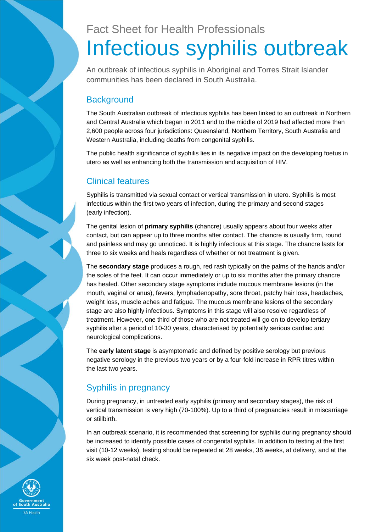# Fact Sheet for Health Professionals Infectious syphilis outbreak

An outbreak of infectious syphilis in Aboriginal and Torres Strait Islander communities has been declared in South Australia.

## **Background**

The South Australian outbreak of infectious syphilis has been linked to an outbreak in Northern and Central Australia which began in 2011 and to the middle of 2019 had affected more than 2,600 people across four jurisdictions: Queensland, Northern Territory, South Australia and Western Australia, including deaths from congenital syphilis.

The public health significance of syphilis lies in its negative impact on the developing foetus in utero as well as enhancing both the transmission and acquisition of HIV.

### Clinical features

Syphilis is transmitted via sexual contact or vertical transmission in utero. Syphilis is most infectious within the first two years of infection, during the primary and second stages (early infection).

The genital lesion of **primary syphilis** (chancre) usually appears about four weeks after contact, but can appear up to three months after contact. The chancre is usually firm, round and painless and may go unnoticed. It is highly infectious at this stage. The chancre lasts for three to six weeks and heals regardless of whether or not treatment is given.

The **secondary stage** produces a rough, red rash typically on the palms of the hands and/or the soles of the feet. It can occur immediately or up to six months after the primary chancre has healed. Other secondary stage symptoms include mucous membrane lesions (in the mouth, vaginal or anus), fevers, lymphadenopathy, sore throat, patchy hair loss, headaches, weight loss, muscle aches and fatigue. The mucous membrane lesions of the secondary stage are also highly infectious. Symptoms in this stage will also resolve regardless of treatment. However, one third of those who are not treated will go on to develop tertiary syphilis after a period of 10-30 years, characterised by potentially serious cardiac and neurological complications.

The **early latent stage** is asymptomatic and defined by positive serology but previous negative serology in the previous two years or by a four-fold increase in RPR titres within the last two years.

## Syphilis in pregnancy

During pregnancy, in untreated early syphilis (primary and secondary stages), the risk of vertical transmission is very high (70-100%). Up to a third of pregnancies result in miscarriage or stillbirth.

In an outbreak scenario, it is recommended that screening for syphilis during pregnancy should be increased to identify possible cases of congenital syphilis. In addition to testing at the first visit (10-12 weeks), testing should be repeated at 28 weeks, 36 weeks, at delivery, and at the six week post-natal check.

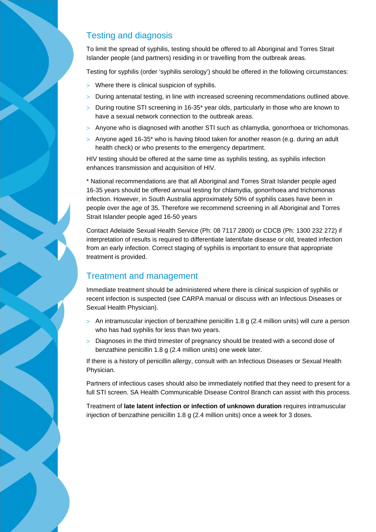#### Testing and diagnosis

To limit the spread of syphilis, testing should be offered to all Aboriginal and Torres Strait Islander people (and partners) residing in or travelling from the outbreak areas.

Testing for syphilis (order 'syphilis serology') should be offered in the following circumstances:

- Where there is clinical suspicion of syphilis.
- > During antenatal testing, in line with increased screening recommendations outlined above.
- $>$  During routine STI screening in 16-35<sup>\*</sup> year olds, particularly in those who are known to have a sexual network connection to the outbreak areas.
- $>$  Anyone who is diagnosed with another STI such as chlamydia, gonorrhoea or trichomonas.
- $>$  Anyone aged 16-35\* who is having blood taken for another reason (e.g. during an adult health check) or who presents to the emergency department.

HIV testing should be offered at the same time as syphilis testing, as syphilis infection enhances transmission and acquisition of HIV.

\* National recommendations are that all Aboriginal and Torres Strait Islander people aged 16-35 years should be offered annual testing for chlamydia, gonorrhoea and trichomonas infection. However, in South Australia approximately 50% of syphilis cases have been in people over the age of 35. Therefore we recommend screening in all Aboriginal and Torres Strait Islander people aged 16-50 years

Contact Adelaide Sexual Health Service (Ph: 08 7117 2800) or CDCB (Ph: 1300 232 272) if interpretation of results is required to differentiate latent/late disease or old, treated infection from an early infection. Correct staging of syphilis is important to ensure that appropriate treatment is provided.

#### Treatment and management

Immediate treatment should be administered where there is clinical suspicion of syphilis or recent infection is suspected (see CARPA manual or discuss with an Infectious Diseases or Sexual Health Physician).

- $>$  An intramuscular injection of benzathine penicillin 1.8 g (2.4 million units) will cure a person who has had syphilis for less than two years.
- $>$  Diagnoses in the third trimester of pregnancy should be treated with a second dose of benzathine penicillin 1.8 g (2.4 million units) one week later.

If there is a history of penicillin allergy, consult with an Infectious Diseases or Sexual Health Physician.

Partners of infectious cases should also be immediately notified that they need to present for a full STI screen. SA Health Communicable Disease Control Branch can assist with this process.

Treatment of **late latent infection or infection of unknown duration** requires intramuscular injection of benzathine penicillin 1.8 g (2.4 million units) once a week for 3 doses.